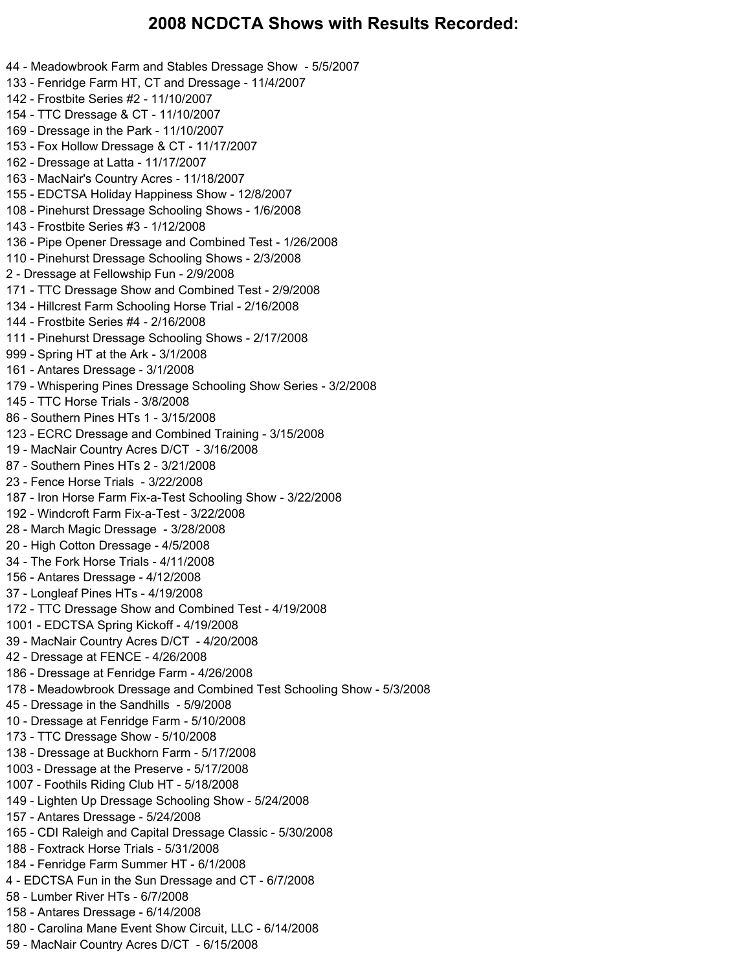#### **2008 NCDCTA Shows with Results Recorded:**

44 - Meadowbrook Farm and Stables Dressage Show - 5/5/2007 133 - Fenridge Farm HT, CT and Dressage - 11/4/2007 142 - Frostbite Series #2 - 11/10/2007 154 - TTC Dressage & CT - 11/10/2007 169 - Dressage in the Park - 11/10/2007 153 - Fox Hollow Dressage & CT - 11/17/2007 162 - Dressage at Latta - 11/17/2007 163 - MacNair's Country Acres - 11/18/2007 155 - EDCTSA Holiday Happiness Show - 12/8/2007 108 - Pinehurst Dressage Schooling Shows - 1/6/2008 143 - Frostbite Series #3 - 1/12/2008 136 - Pipe Opener Dressage and Combined Test - 1/26/2008 110 - Pinehurst Dressage Schooling Shows - 2/3/2008 2 - Dressage at Fellowship Fun - 2/9/2008 171 - TTC Dressage Show and Combined Test - 2/9/2008 134 - Hillcrest Farm Schooling Horse Trial - 2/16/2008 144 - Frostbite Series #4 - 2/16/2008 111 - Pinehurst Dressage Schooling Shows - 2/17/2008 999 - Spring HT at the Ark - 3/1/2008 161 - Antares Dressage - 3/1/2008 179 - Whispering Pines Dressage Schooling Show Series - 3/2/2008 145 - TTC Horse Trials - 3/8/2008 86 - Southern Pines HTs 1 - 3/15/2008 123 - ECRC Dressage and Combined Training - 3/15/2008 19 - MacNair Country Acres D/CT - 3/16/2008 87 - Southern Pines HTs 2 - 3/21/2008 23 - Fence Horse Trials - 3/22/2008 187 - Iron Horse Farm Fix-a-Test Schooling Show - 3/22/2008 192 - Windcroft Farm Fix-a-Test - 3/22/2008 28 - March Magic Dressage - 3/28/2008 20 - High Cotton Dressage - 4/5/2008 34 - The Fork Horse Trials - 4/11/2008 156 - Antares Dressage - 4/12/2008 37 - Longleaf Pines HTs - 4/19/2008 172 - TTC Dressage Show and Combined Test - 4/19/2008 1001 - EDCTSA Spring Kickoff - 4/19/2008 39 - MacNair Country Acres D/CT - 4/20/2008 42 - Dressage at FENCE - 4/26/2008 186 - Dressage at Fenridge Farm - 4/26/2008 178 - Meadowbrook Dressage and Combined Test Schooling Show - 5/3/2008 45 - Dressage in the Sandhills - 5/9/2008 10 - Dressage at Fenridge Farm - 5/10/2008 173 - TTC Dressage Show - 5/10/2008 138 - Dressage at Buckhorn Farm - 5/17/2008 1003 - Dressage at the Preserve - 5/17/2008 1007 - Foothils Riding Club HT - 5/18/2008 149 - Lighten Up Dressage Schooling Show - 5/24/2008 157 - Antares Dressage - 5/24/2008 165 - CDI Raleigh and Capital Dressage Classic - 5/30/2008 188 - Foxtrack Horse Trials - 5/31/2008 184 - Fenridge Farm Summer HT - 6/1/2008 4 - EDCTSA Fun in the Sun Dressage and CT - 6/7/2008 58 - Lumber River HTs - 6/7/2008 158 - Antares Dressage - 6/14/2008 180 - Carolina Mane Event Show Circuit, LLC - 6/14/2008 59 - MacNair Country Acres D/CT - 6/15/2008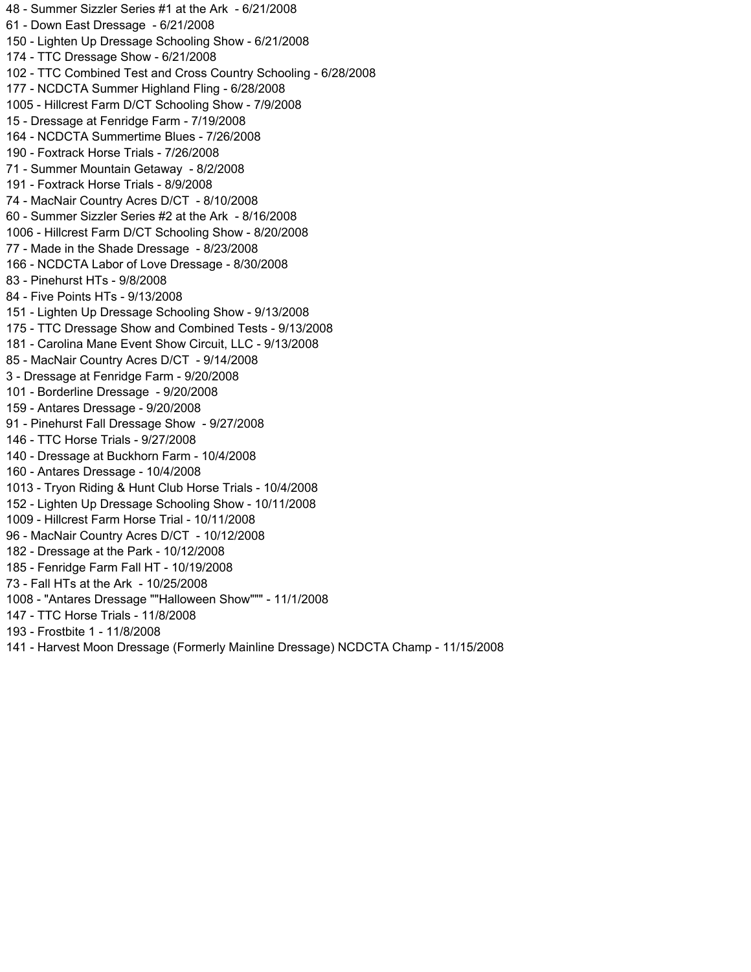48 - Summer Sizzler Series #1 at the Ark - 6/21/2008 61 - Down East Dressage - 6/21/2008 150 - Lighten Up Dressage Schooling Show - 6/21/2008 174 - TTC Dressage Show - 6/21/2008 102 - TTC Combined Test and Cross Country Schooling - 6/28/2008 177 - NCDCTA Summer Highland Fling - 6/28/2008 1005 - Hillcrest Farm D/CT Schooling Show - 7/9/2008 15 - Dressage at Fenridge Farm - 7/19/2008 164 - NCDCTA Summertime Blues - 7/26/2008 190 - Foxtrack Horse Trials - 7/26/2008 71 - Summer Mountain Getaway - 8/2/2008 191 - Foxtrack Horse Trials - 8/9/2008 74 - MacNair Country Acres D/CT - 8/10/2008 60 - Summer Sizzler Series #2 at the Ark - 8/16/2008 1006 - Hillcrest Farm D/CT Schooling Show - 8/20/2008 77 - Made in the Shade Dressage - 8/23/2008 166 - NCDCTA Labor of Love Dressage - 8/30/2008 83 - Pinehurst HTs - 9/8/2008 84 - Five Points HTs - 9/13/2008 151 - Lighten Up Dressage Schooling Show - 9/13/2008 175 - TTC Dressage Show and Combined Tests - 9/13/2008 181 - Carolina Mane Event Show Circuit, LLC - 9/13/2008 85 - MacNair Country Acres D/CT - 9/14/2008 3 - Dressage at Fenridge Farm - 9/20/2008 101 - Borderline Dressage - 9/20/2008 159 - Antares Dressage - 9/20/2008 91 - Pinehurst Fall Dressage Show - 9/27/2008 146 - TTC Horse Trials - 9/27/2008 140 - Dressage at Buckhorn Farm - 10/4/2008 160 - Antares Dressage - 10/4/2008 1013 - Tryon Riding & Hunt Club Horse Trials - 10/4/2008 152 - Lighten Up Dressage Schooling Show - 10/11/2008 1009 - Hillcrest Farm Horse Trial - 10/11/2008 96 - MacNair Country Acres D/CT - 10/12/2008 182 - Dressage at the Park - 10/12/2008 185 - Fenridge Farm Fall HT - 10/19/2008 73 - Fall HTs at the Ark - 10/25/2008 1008 - "Antares Dressage ""Halloween Show""" - 11/1/2008 147 - TTC Horse Trials - 11/8/2008 193 - Frostbite 1 - 11/8/2008 141 - Harvest Moon Dressage (Formerly Mainline Dressage) NCDCTA Champ - 11/15/2008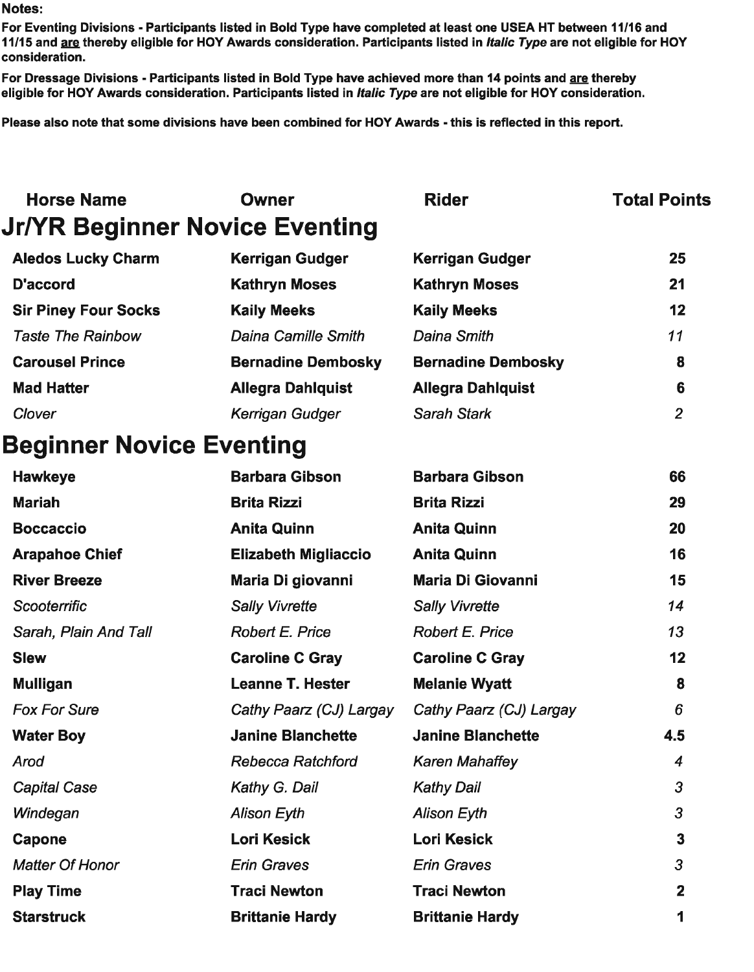For Eventing Divisions - Participants listed in Bold Type have completed at least one USEA HT between 11/16 and 11/15 and are thereby eligible for HOY Awards consideration. Participants listed in Italic Type are not eligible for HOY consideration.

For Dressage Divisions - Participants listed in Bold Type have achieved more than 14 points and are thereby eligible for HOY Awards consideration. Participants listed in Italic Type are not eligible for HOY consideration.

Please also note that some divisions have been combined for HOY Awards - this is reflected in this report.

| <b>Horse Name</b>                     | <b>Owner</b>                | <b>Rider</b>              | <b>Total Points</b> |
|---------------------------------------|-----------------------------|---------------------------|---------------------|
| <b>Jr/YR Beginner Novice Eventing</b> |                             |                           |                     |
| <b>Aledos Lucky Charm</b>             | <b>Kerrigan Gudger</b>      | <b>Kerrigan Gudger</b>    | 25                  |
| <b>D'accord</b>                       | <b>Kathryn Moses</b>        | <b>Kathryn Moses</b>      | 21                  |
| <b>Sir Piney Four Socks</b>           | <b>Kaily Meeks</b>          | <b>Kaily Meeks</b>        | 12                  |
| <b>Taste The Rainbow</b>              | <b>Daina Camille Smith</b>  | <b>Daina Smith</b>        | 11                  |
| <b>Carousel Prince</b>                | <b>Bernadine Dembosky</b>   | <b>Bernadine Dembosky</b> | 8                   |
| <b>Mad Hatter</b>                     | <b>Allegra Dahlquist</b>    | <b>Allegra Dahlquist</b>  | 6                   |
| Clover                                | Kerrigan Gudger             | <b>Sarah Stark</b>        | $\overline{2}$      |
| <b>Beginner Novice Eventing</b>       |                             |                           |                     |
| <b>Hawkeye</b>                        | <b>Barbara Gibson</b>       | <b>Barbara Gibson</b>     | 66                  |
| <b>Mariah</b>                         | <b>Brita Rizzi</b>          | <b>Brita Rizzi</b>        | 29                  |
| <b>Boccaccio</b>                      | <b>Anita Quinn</b>          | <b>Anita Quinn</b>        | 20                  |
| <b>Arapahoe Chief</b>                 | <b>Elizabeth Migliaccio</b> | <b>Anita Quinn</b>        | 16                  |
| <b>River Breeze</b>                   | Maria Di giovanni           | <b>Maria Di Giovanni</b>  | 15                  |
| Scooterrific                          | <b>Sally Vivrette</b>       | <b>Sally Vivrette</b>     | 14                  |
| Sarah, Plain And Tall                 | <b>Robert E. Price</b>      | <b>Robert E. Price</b>    | 13                  |
| <b>Slew</b>                           | <b>Caroline C Gray</b>      | <b>Caroline C Gray</b>    | 12                  |
| <b>Mulligan</b>                       | <b>Leanne T. Hester</b>     | <b>Melanie Wyatt</b>      | 8                   |
| <b>Fox For Sure</b>                   | Cathy Paarz (CJ) Largay     | Cathy Paarz (CJ) Largay   | 6                   |
| <b>Water Boy</b>                      | <b>Janine Blanchette</b>    | <b>Janine Blanchette</b>  | 4.5                 |
| Arod                                  | <b>Rebecca Ratchford</b>    | <b>Karen Mahaffey</b>     | 4                   |
| <b>Capital Case</b>                   | Kathy G. Dail               | <b>Kathy Dail</b>         | 3                   |
| Windegan                              | <b>Alison Eyth</b>          | <b>Alison Eyth</b>        | 3                   |
| <b>Capone</b>                         | <b>Lori Kesick</b>          | <b>Lori Kesick</b>        | 3                   |
| <b>Matter Of Honor</b>                | <b>Erin Graves</b>          | <b>Erin Graves</b>        | 3                   |
| <b>Play Time</b>                      | <b>Traci Newton</b>         | <b>Traci Newton</b>       | $\mathbf{2}$        |
| <b>Starstruck</b>                     | <b>Brittanie Hardy</b>      | <b>Brittanie Hardy</b>    | 1                   |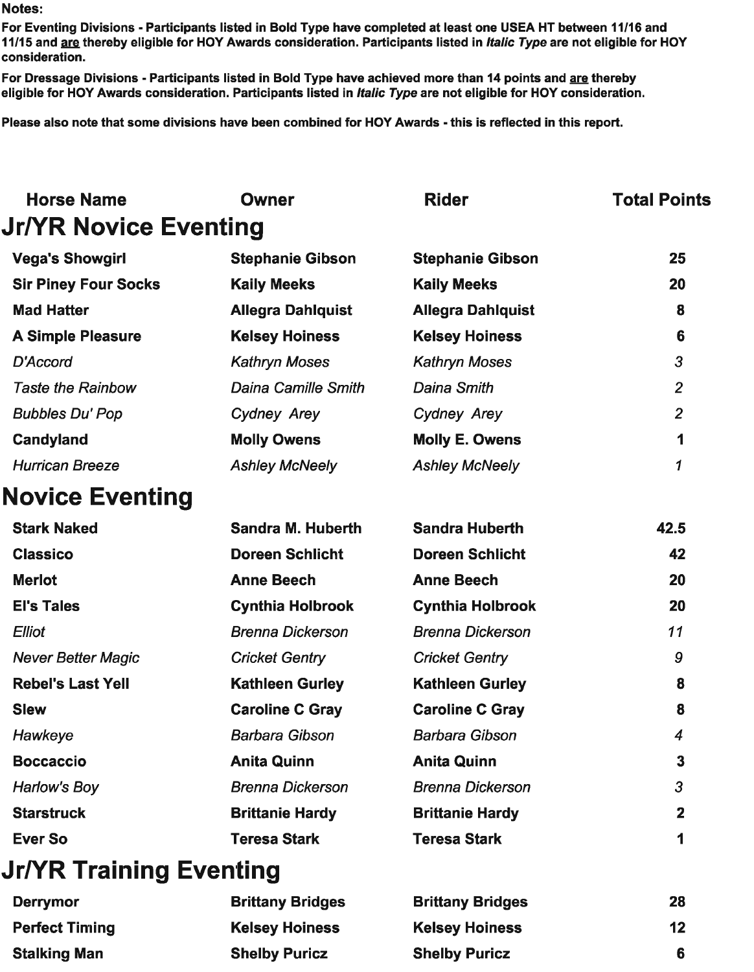**Stalking Man** 

For Eventing Divisions - Participants listed in Bold Type have completed at least one USEA HT between 11/16 and 11/15 and are thereby eligible for HOY Awards consideration. Participants listed in Italic Type are not eligible for HOY consideration.

For Dressage Divisions - Participants listed in Bold Type have achieved more than 14 points and are thereby eligible for HOY Awards consideration. Participants listed in Italic Type are not eligible for HOY consideration.

Please also note that some divisions have been combined for HOY Awards - this is reflected in this report.

| <b>Horse Name</b>              | <b>Owner</b>               | <b>Rider</b>             | <b>Total Points</b> |
|--------------------------------|----------------------------|--------------------------|---------------------|
| <b>Jr/YR Novice Eventing</b>   |                            |                          |                     |
| <b>Vega's Showgirl</b>         | <b>Stephanie Gibson</b>    | <b>Stephanie Gibson</b>  | 25                  |
| <b>Sir Piney Four Socks</b>    | <b>Kaily Meeks</b>         | <b>Kaily Meeks</b>       | 20                  |
| <b>Mad Hatter</b>              | <b>Allegra Dahlquist</b>   | <b>Allegra Dahlquist</b> | 8                   |
| <b>A Simple Pleasure</b>       | <b>Kelsey Hoiness</b>      | <b>Kelsey Hoiness</b>    | $6\phantom{1}6$     |
| D'Accord                       | <b>Kathryn Moses</b>       | <b>Kathryn Moses</b>     | $\overline{3}$      |
| <b>Taste the Rainbow</b>       | <b>Daina Camille Smith</b> | <b>Daina Smith</b>       | $\overline{2}$      |
| <b>Bubbles Du' Pop</b>         | Cydney Arey                | <b>Cydney Arey</b>       | $\overline{2}$      |
| <b>Candyland</b>               | <b>Molly Owens</b>         | <b>Molly E. Owens</b>    | 1                   |
| <b>Hurrican Breeze</b>         | <b>Ashley McNeely</b>      | <b>Ashley McNeely</b>    | 1                   |
| <b>Novice Eventing</b>         |                            |                          |                     |
| <b>Stark Naked</b>             | <b>Sandra M. Huberth</b>   | <b>Sandra Huberth</b>    | 42.5                |
| <b>Classico</b>                | <b>Doreen Schlicht</b>     | <b>Doreen Schlicht</b>   | 42                  |
| <b>Merlot</b>                  | <b>Anne Beech</b>          | <b>Anne Beech</b>        | 20                  |
| <b>El's Tales</b>              | <b>Cynthia Holbrook</b>    | <b>Cynthia Holbrook</b>  | 20                  |
| <b>Elliot</b>                  | <b>Brenna Dickerson</b>    | <b>Brenna Dickerson</b>  | 11                  |
| <b>Never Better Magic</b>      | <b>Cricket Gentry</b>      | <b>Cricket Gentry</b>    | 9                   |
| <b>Rebel's Last Yell</b>       | <b>Kathleen Gurley</b>     | <b>Kathleen Gurley</b>   | 8                   |
| <b>Slew</b>                    | <b>Caroline C Gray</b>     | <b>Caroline C Gray</b>   | 8                   |
| Hawkeye                        | <b>Barbara Gibson</b>      | <b>Barbara Gibson</b>    | $\overline{4}$      |
| <b>Boccaccio</b>               | <b>Anita Quinn</b>         | <b>Anita Quinn</b>       | 3                   |
| Harlow's Boy                   | <b>Brenna Dickerson</b>    | <b>Brenna Dickerson</b>  | $\overline{3}$      |
| <b>Starstruck</b>              | <b>Brittanie Hardy</b>     | <b>Brittanie Hardy</b>   | $\mathbf{2}$        |
| <b>Ever So</b>                 | <b>Teresa Stark</b>        | <b>Teresa Stark</b>      | 1                   |
| <b>Jr/YR Training Eventing</b> |                            |                          |                     |
| <b>Derrymor</b>                | <b>Brittany Bridges</b>    | <b>Brittany Bridges</b>  | 28                  |
| <b>Perfect Timing</b>          | <b>Kelsey Hoiness</b>      | <b>Kelsey Hoiness</b>    | 12                  |

**Shelby Puricz** 

**Shelby Puricz** 

6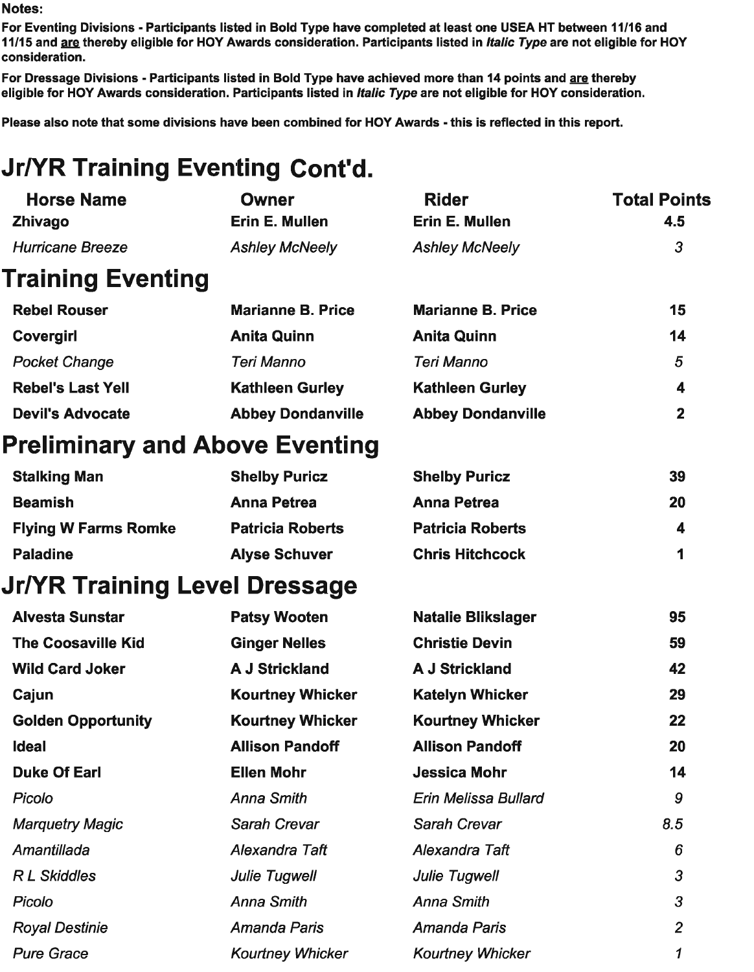For Eventing Divisions - Participants listed in Bold Type have completed at least one USEA HT between 11/16 and 11/15 and are thereby eligible for HOY Awards consideration. Participants listed in *Italic Type* are not eligible for HOY consideration.

For Dressage Divisions - Participants listed in Bold Type have achieved more than 14 points and are thereby eligible for HOY Awards consideration. Participants listed in Italic Type are not eligible for HOY consideration.

Please also note that some divisions have been combined for HOY Awards - this is reflected in this report.

# **Jr/YR Training Eventing Cont'd.**

| <b>Horse Name</b>              | <b>Owner</b>             | <b>Rider</b>              | <b>Total Points</b> |
|--------------------------------|--------------------------|---------------------------|---------------------|
| <b>Zhivago</b>                 | Erin E. Mullen           | <b>Erin E. Mullen</b>     | 4.5                 |
| <b>Hurricane Breeze</b>        | <b>Ashley McNeely</b>    | <b>Ashley McNeely</b>     | 3                   |
| <b>Training Eventing</b>       |                          |                           |                     |
| <b>Rebel Rouser</b>            | <b>Marianne B. Price</b> | <b>Marianne B. Price</b>  | 15                  |
| <b>Covergirl</b>               | <b>Anita Quinn</b>       | <b>Anita Quinn</b>        | 14                  |
| <b>Pocket Change</b>           | <b>Teri Manno</b>        | <b>Teri Manno</b>         | $5\phantom{.0}$     |
| <b>Rebel's Last Yell</b>       | <b>Kathleen Gurley</b>   | <b>Kathleen Gurley</b>    | 4                   |
| <b>Devil's Advocate</b>        | <b>Abbey Dondanville</b> | <b>Abbey Dondanville</b>  | $\mathbf{2}$        |
| Preliminary and Above Eventing |                          |                           |                     |
| <b>Stalking Man</b>            | <b>Shelby Puricz</b>     | <b>Shelby Puricz</b>      | 39                  |
| <b>Beamish</b>                 | <b>Anna Petrea</b>       | <b>Anna Petrea</b>        | 20                  |
| <b>Flying W Farms Romke</b>    | <b>Patricia Roberts</b>  | <b>Patricia Roberts</b>   | 4                   |
| <b>Paladine</b>                | <b>Alyse Schuver</b>     | <b>Chris Hitchcock</b>    | 1                   |
| Jr/YR Training Level Dressage  |                          |                           |                     |
| <b>Alvesta Sunstar</b>         | <b>Patsy Wooten</b>      | <b>Natalie Blikslager</b> | 95                  |
| <b>The Coosaville Kid</b>      | <b>Ginger Nelles</b>     | <b>Christie Devin</b>     | 59                  |
| <b>Wild Card Joker</b>         | <b>A J Strickland</b>    | <b>A J Strickland</b>     | 42                  |
| Cajun                          | <b>Kourtney Whicker</b>  | <b>Katelyn Whicker</b>    | 29                  |
| <b>Golden Opportunity</b>      | <b>Kourtney Whicker</b>  | <b>Kourtney Whicker</b>   | 22                  |
| <b>Ideal</b>                   | <b>Allison Pandoff</b>   | <b>Allison Pandoff</b>    | 20                  |
| <b>Duke Of Earl</b>            | <b>Ellen Mohr</b>        | <b>Jessica Mohr</b>       | 14                  |
| Picolo                         | <b>Anna Smith</b>        | Erin Melissa Bullard      | 9                   |
| <b>Marquetry Magic</b>         | Sarah Crevar             | <b>Sarah Crevar</b>       | 8.5                 |
| Amantillada                    | Alexandra Taft           | Alexandra Taft            | 6                   |
| <b>RL</b> Skiddles             | <b>Julie Tugwell</b>     | <b>Julie Tugwell</b>      | 3                   |
| Picolo                         | <b>Anna Smith</b>        | <b>Anna Smith</b>         | 3                   |
| <b>Royal Destinie</b>          | Amanda Paris             | <b>Amanda Paris</b>       | $\overline{2}$      |
| <b>Pure Grace</b>              | <b>Kourtney Whicker</b>  | <b>Kourtney Whicker</b>   | 1                   |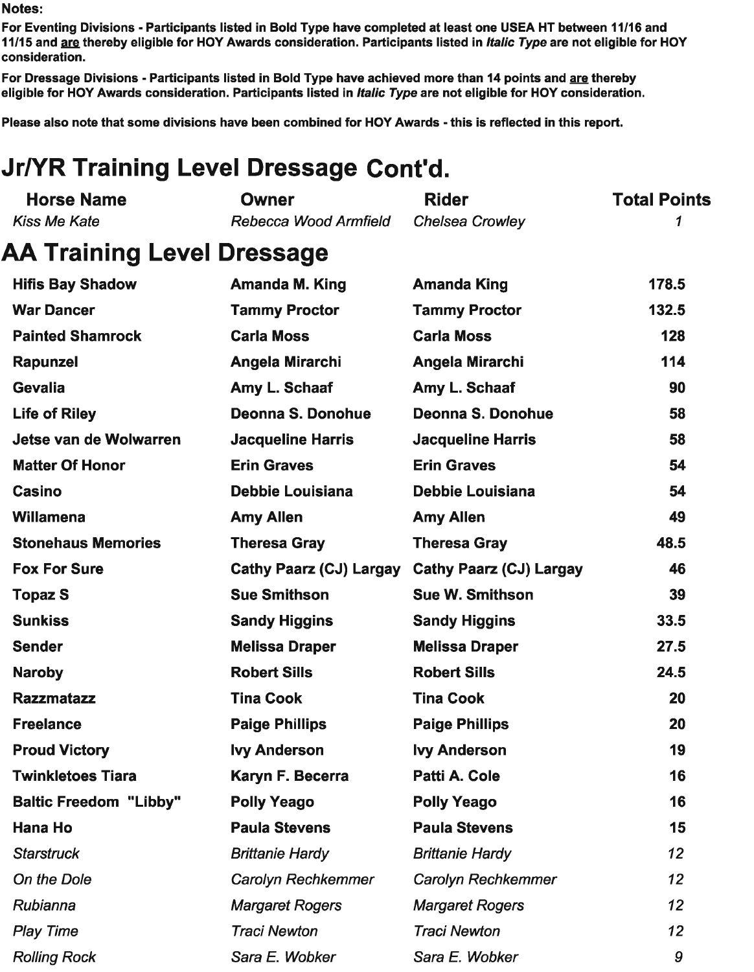For Eventing Divisions - Participants listed in Bold Type have completed at least one USEA HT between 11/16 and 11/15 and are thereby eligible for HOY Awards consideration. Participants listed in *Italic Type* are not eligible for HOY consideration.

For Dressage Divisions - Participants listed in Bold Type have achieved more than 14 points and are thereby eligible for HOY Awards consideration. Participants listed in Italic Type are not eligible for HOY consideration.

Please also note that some divisions have been combined for HOY Awards - this is reflected in this report.

# **Jr/YR Training Level Dressage Cont'd.**

| <b>Horse Name</b>                 | <b>Owner</b>                   | <b>Rider</b>                   | <b>Total Points</b> |
|-----------------------------------|--------------------------------|--------------------------------|---------------------|
| <b>Kiss Me Kate</b>               | Rebecca Wood Armfield          | <b>Chelsea Crowley</b>         | 1                   |
| <b>AA Training Level Dressage</b> |                                |                                |                     |
| <b>Hifis Bay Shadow</b>           | <b>Amanda M. King</b>          | <b>Amanda King</b>             | 178.5               |
| <b>War Dancer</b>                 | <b>Tammy Proctor</b>           | <b>Tammy Proctor</b>           | 132.5               |
| <b>Painted Shamrock</b>           | <b>Carla Moss</b>              | <b>Carla Moss</b>              | 128                 |
| Rapunzel                          | Angela Mirarchi                | Angela Mirarchi                | 114                 |
| <b>Gevalia</b>                    | Amy L. Schaaf                  | Amy L. Schaaf                  | 90                  |
| <b>Life of Riley</b>              | Deonna S. Donohue              | Deonna S. Donohue              | 58                  |
| Jetse van de Wolwarren            | <b>Jacqueline Harris</b>       | <b>Jacqueline Harris</b>       | 58                  |
| <b>Matter Of Honor</b>            | <b>Erin Graves</b>             | <b>Erin Graves</b>             | 54                  |
| <b>Casino</b>                     | <b>Debbie Louisiana</b>        | <b>Debbie Louisiana</b>        | 54                  |
| Willamena                         | <b>Amy Allen</b>               | <b>Amy Allen</b>               | 49                  |
| <b>Stonehaus Memories</b>         | <b>Theresa Gray</b>            | <b>Theresa Gray</b>            | 48.5                |
| <b>Fox For Sure</b>               | <b>Cathy Paarz (CJ) Largay</b> | <b>Cathy Paarz (CJ) Largay</b> | 46                  |
| <b>Topaz S</b>                    | <b>Sue Smithson</b>            | <b>Sue W. Smithson</b>         | 39                  |
| <b>Sunkiss</b>                    | <b>Sandy Higgins</b>           | <b>Sandy Higgins</b>           | 33.5                |
| <b>Sender</b>                     | <b>Melissa Draper</b>          | <b>Melissa Draper</b>          | 27.5                |
| <b>Naroby</b>                     | <b>Robert Sills</b>            | <b>Robert Sills</b>            | 24.5                |
| <b>Razzmatazz</b>                 | <b>Tina Cook</b>               | <b>Tina Cook</b>               | 20                  |
| <b>Freelance</b>                  | <b>Paige Phillips</b>          | <b>Paige Phillips</b>          | 20                  |
| <b>Proud Victory</b>              | <b>Ivy Anderson</b>            | <b>lvy Anderson</b>            | 19                  |
| <b>Twinkletoes Tiara</b>          | Karyn F. Becerra               | Patti A. Cole                  | 16                  |
| <b>Baltic Freedom "Libby"</b>     | <b>Polly Yeago</b>             | <b>Polly Yeago</b>             | 16                  |
| <b>Hana Ho</b>                    | <b>Paula Stevens</b>           | <b>Paula Stevens</b>           | 15                  |
| <b>Starstruck</b>                 | <b>Brittanie Hardy</b>         | <b>Brittanie Hardy</b>         | 12                  |
| On the Dole                       | <b>Carolyn Rechkemmer</b>      | Carolyn Rechkemmer             | 12                  |
| Rubianna                          | <b>Margaret Rogers</b>         | <b>Margaret Rogers</b>         | 12                  |
| <b>Play Time</b>                  | <b>Traci Newton</b>            | <b>Traci Newton</b>            | 12 <sup>2</sup>     |
| <b>Rolling Rock</b>               | Sara E. Wobker                 | Sara E. Wobker                 | 9                   |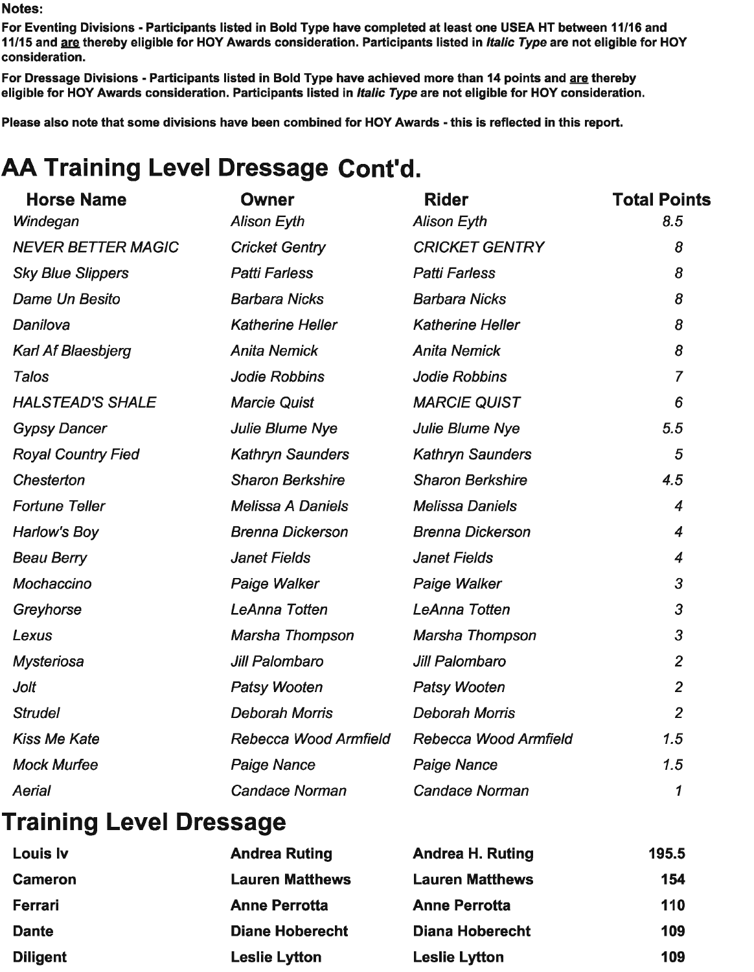For Eventing Divisions - Participants listed in Bold Type have completed at least one USEA HT between 11/16 and 11/15 and are thereby eligible for HOY Awards consideration. Participants listed in *Italic Type* are not eligible for HOY consideration.

For Dressage Divisions - Participants listed in Bold Type have achieved more than 14 points and are thereby eligible for HOY Awards consideration. Participants listed in Italic Type are not eligible for HOY consideration.

Please also note that some divisions have been combined for HOY Awards - this is reflected in this report.

# AA Training Level Dressage Cont'd.

| <b>Horse Name</b>         | <b>Owner</b>             | <b>Rider</b>            | <b>Total Points</b> |
|---------------------------|--------------------------|-------------------------|---------------------|
| Windegan                  | <b>Alison Eyth</b>       | <b>Alison Eyth</b>      | 8.5                 |
| <b>NEVER BETTER MAGIC</b> | <b>Cricket Gentry</b>    | <b>CRICKET GENTRY</b>   | 8                   |
| <b>Sky Blue Slippers</b>  | <b>Patti Farless</b>     | <b>Patti Farless</b>    | 8                   |
| Dame Un Besito            | <b>Barbara Nicks</b>     | <b>Barbara Nicks</b>    | 8                   |
| Danilova                  | <b>Katherine Heller</b>  | <b>Katherine Heller</b> | 8                   |
| <b>Karl Af Blaesbjerg</b> | <b>Anita Nemick</b>      | <b>Anita Nemick</b>     | 8                   |
| <b>Talos</b>              | <b>Jodie Robbins</b>     | <b>Jodie Robbins</b>    | $\overline{7}$      |
| <b>HALSTEAD'S SHALE</b>   | <b>Marcie Quist</b>      | <b>MARCIE QUIST</b>     | 6                   |
| <b>Gypsy Dancer</b>       | <b>Julie Blume Nye</b>   | <b>Julie Blume Nye</b>  | 5.5                 |
| <b>Royal Country Fied</b> | <b>Kathryn Saunders</b>  | <b>Kathryn Saunders</b> | 5                   |
| Chesterton                | <b>Sharon Berkshire</b>  | <b>Sharon Berkshire</b> | 4.5                 |
| <b>Fortune Teller</b>     | <b>Melissa A Daniels</b> | <b>Melissa Daniels</b>  | $\boldsymbol{4}$    |
| Harlow's Boy              | <b>Brenna Dickerson</b>  | <b>Brenna Dickerson</b> | 4                   |
| <b>Beau Berry</b>         | <b>Janet Fields</b>      | <b>Janet Fields</b>     | 4                   |
| Mochaccino                | Paige Walker             | Paige Walker            | 3                   |
| Greyhorse                 | <b>LeAnna Totten</b>     | <b>LeAnna Totten</b>    | 3                   |
| Lexus                     | Marsha Thompson          | Marsha Thompson         | 3                   |
| <b>Mysteriosa</b>         | Jill Palombaro           | Jill Palombaro          | $\overline{2}$      |
| Jolt                      | <b>Patsy Wooten</b>      | <b>Patsy Wooten</b>     | $\overline{2}$      |
| <b>Strudel</b>            | <b>Deborah Morris</b>    | <b>Deborah Morris</b>   | $\overline{2}$      |
| <b>Kiss Me Kate</b>       | Rebecca Wood Armfield    | Rebecca Wood Armfield   | 1.5                 |
| <b>Mock Murfee</b>        | <b>Paige Nance</b>       | <b>Paige Nance</b>      | 1.5                 |
| Aerial                    | <b>Candace Norman</b>    | <b>Candace Norman</b>   | 1                   |

### **Training Level Dressage**

| Louis Iv        | <b>Andrea Ruting</b>   | <b>Andrea H. Ruting</b> | 195.5 |
|-----------------|------------------------|-------------------------|-------|
| <b>Cameron</b>  | <b>Lauren Matthews</b> | <b>Lauren Matthews</b>  | 154   |
| Ferrari         | <b>Anne Perrotta</b>   | <b>Anne Perrotta</b>    | 110   |
| <b>Dante</b>    | <b>Diane Hoberecht</b> | <b>Diana Hoberecht</b>  | 109   |
| <b>Diligent</b> | <b>Leslie Lytton</b>   | <b>Leslie Lytton</b>    | 109   |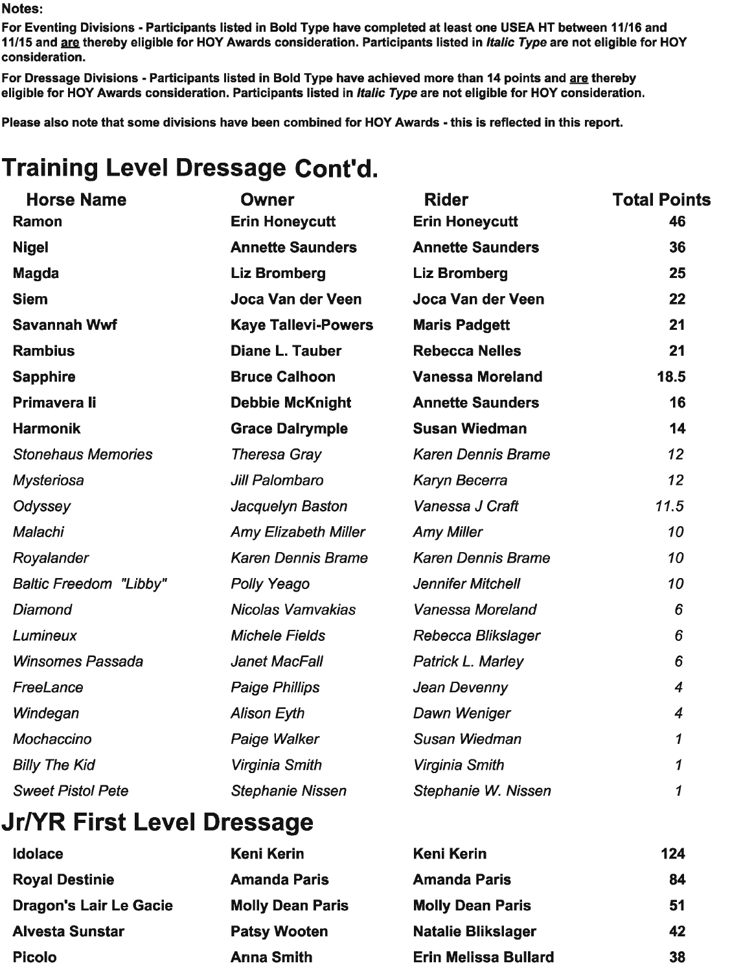For Eventing Divisions - Participants listed in Bold Type have completed at least one USEA HT between 11/16 and 11/15 and are thereby eligible for HOY Awards consideration. Participants listed in *Italic Type* are not eligible for HOY consideration.

For Dressage Divisions - Participants listed in Bold Type have achieved more than 14 points and are thereby eligible for HOY Awards consideration. Participants listed in Italic Type are not eligible for HOY consideration.

Please also note that some divisions have been combined for HOY Awards - this is reflected in this report.

# **Training Level Dressage Cont'd.**

| <b>Horse Name</b>             | <b>Owner</b>                | <b>Rider</b>              | <b>Total Points</b> |
|-------------------------------|-----------------------------|---------------------------|---------------------|
| Ramon                         | <b>Erin Honeycutt</b>       | <b>Erin Honeycutt</b>     | 46                  |
| <b>Nigel</b>                  | <b>Annette Saunders</b>     | <b>Annette Saunders</b>   | 36                  |
| <b>Magda</b>                  | <b>Liz Bromberg</b>         | <b>Liz Bromberg</b>       | 25                  |
| <b>Siem</b>                   | Joca Van der Veen           | Joca Van der Veen         | 22                  |
| <b>Savannah Wwf</b>           | <b>Kaye Tallevi-Powers</b>  | <b>Maris Padgett</b>      | 21                  |
| <b>Rambius</b>                | <b>Diane L. Tauber</b>      | <b>Rebecca Nelles</b>     | 21                  |
| <b>Sapphire</b>               | <b>Bruce Calhoon</b>        | <b>Vanessa Moreland</b>   | 18.5                |
| <b>Primavera li</b>           | <b>Debbie McKnight</b>      | <b>Annette Saunders</b>   | 16                  |
| <b>Harmonik</b>               | <b>Grace Dalrymple</b>      | <b>Susan Wiedman</b>      | 14                  |
| <b>Stonehaus Memories</b>     | <b>Theresa Gray</b>         | <b>Karen Dennis Brame</b> | 12                  |
| <b>Mysteriosa</b>             | Jill Palombaro              | Karyn Becerra             | 12                  |
| Odyssey                       | Jacquelyn Baston            | Vanessa J Craft           | 11.5                |
| Malachi                       | <b>Amy Elizabeth Miller</b> | <b>Amy Miller</b>         | 10                  |
| Royalander                    | <b>Karen Dennis Brame</b>   | <b>Karen Dennis Brame</b> | 10                  |
| <b>Baltic Freedom "Libby"</b> | <b>Polly Yeago</b>          | <b>Jennifer Mitchell</b>  | 10                  |
| Diamond                       | <b>Nicolas Vamvakias</b>    | Vanessa Moreland          | 6                   |
| <b>Lumineux</b>               | <b>Michele Fields</b>       | Rebecca Blikslager        | 6                   |
| <b>Winsomes Passada</b>       | <b>Janet MacFall</b>        | Patrick L. Marley         | 6                   |
| FreeLance                     | <b>Paige Phillips</b>       | Jean Devenny              | $\overline{4}$      |
| Windegan                      | <b>Alison Eyth</b>          | Dawn Weniger              | $\overline{4}$      |
| Mochaccino                    | Paige Walker                | Susan Wiedman             | $\mathcal I$        |
| <b>Billy The Kid</b>          | Virginia Smith              | Virginia Smith            | 1                   |
| <b>Sweet Pistol Pete</b>      | <b>Stephanie Nissen</b>     | Stephanie W. Nissen       | 1                   |
|                               |                             |                           |                     |

#### **Jr/YR First Level Dressage**

| <b>Keni Kerin</b>       | <b>Keni Kerin</b>           | 124 |
|-------------------------|-----------------------------|-----|
| <b>Amanda Paris</b>     | <b>Amanda Paris</b>         | 84  |
| <b>Molly Dean Paris</b> | <b>Molly Dean Paris</b>     | 51  |
| <b>Patsy Wooten</b>     | <b>Natalie Blikslager</b>   | 42  |
| <b>Anna Smith</b>       | <b>Erin Melissa Bullard</b> | 38  |
|                         |                             |     |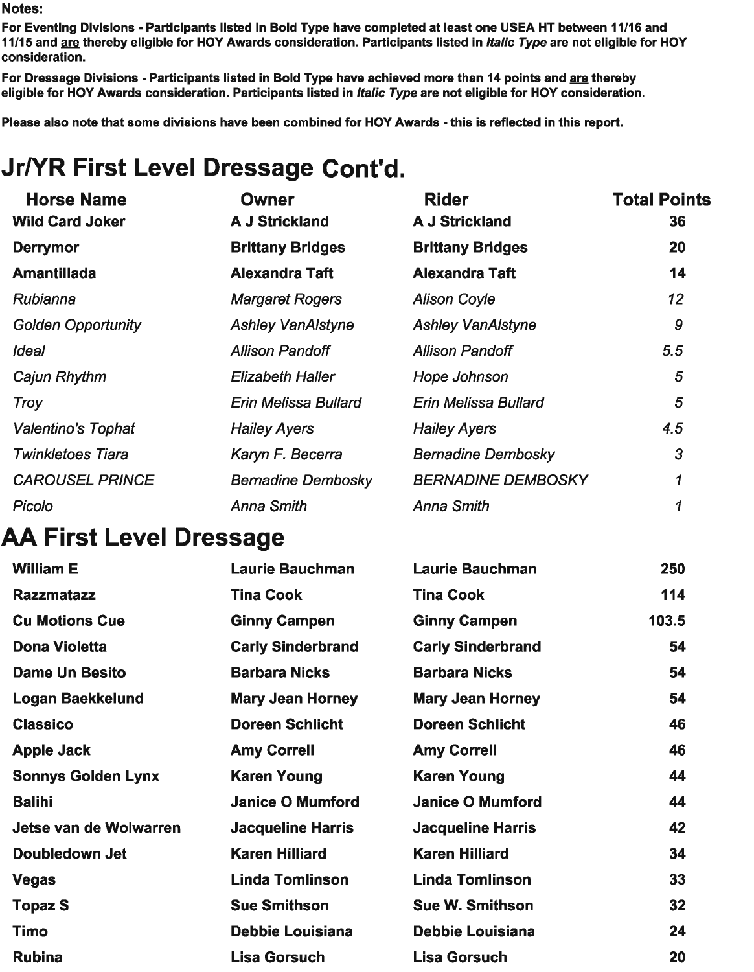For Eventing Divisions - Participants listed in Bold Type have completed at least one USEA HT between 11/16 and 11/15 and are thereby eligible for HOY Awards consideration. Participants listed in *Italic Type* are not eligible for HOY consideration.

For Dressage Divisions - Participants listed in Bold Type have achieved more than 14 points and are thereby eligible for HOY Awards consideration. Participants listed in Italic Type are not eligible for HOY consideration.

Please also note that some divisions have been combined for HOY Awards - this is reflected in this report.

# Jr/YR First Level Dressage Cont'd.

| <b>Horse Name</b>         | <b>Owner</b>              | <b>Rider</b>              | <b>Total Points</b> |
|---------------------------|---------------------------|---------------------------|---------------------|
| <b>Wild Card Joker</b>    | <b>A J Strickland</b>     | <b>A J Strickland</b>     | 36                  |
| <b>Derrymor</b>           | <b>Brittany Bridges</b>   | <b>Brittany Bridges</b>   | 20                  |
| <b>Amantillada</b>        | <b>Alexandra Taft</b>     | <b>Alexandra Taft</b>     | 14                  |
| Rubianna                  | <b>Margaret Rogers</b>    | <b>Alison Coyle</b>       | 12                  |
| <b>Golden Opportunity</b> | <b>Ashley VanAlstyne</b>  | <b>Ashley VanAlstyne</b>  | 9                   |
| <b>Ideal</b>              | <b>Allison Pandoff</b>    | <b>Allison Pandoff</b>    | 5.5                 |
| Cajun Rhythm              | <b>Elizabeth Haller</b>   | Hope Johnson              | 5                   |
| Troy                      | Erin Melissa Bullard      | Erin Melissa Bullard      | 5                   |
| Valentino's Tophat        | <b>Hailey Ayers</b>       | <b>Hailey Ayers</b>       | 4.5                 |
| <b>Twinkletoes Tiara</b>  | Karyn F. Becerra          | <b>Bernadine Dembosky</b> | 3                   |
| <b>CAROUSEL PRINCE</b>    | <b>Bernadine Dembosky</b> | <b>BERNADINE DEMBOSKY</b> | 1                   |
| Picolo                    | <b>Anna Smith</b>         | <b>Anna Smith</b>         |                     |

### **AA First Level Dressage**

| <b>William E</b>          | <b>Laurie Bauchman</b>   | <b>Laurie Bauchman</b>   | 250   |
|---------------------------|--------------------------|--------------------------|-------|
| <b>Razzmatazz</b>         | <b>Tina Cook</b>         | <b>Tina Cook</b>         | 114   |
| <b>Cu Motions Cue</b>     | <b>Ginny Campen</b>      | <b>Ginny Campen</b>      | 103.5 |
| <b>Dona Violetta</b>      | <b>Carly Sinderbrand</b> | <b>Carly Sinderbrand</b> | 54    |
| <b>Dame Un Besito</b>     | <b>Barbara Nicks</b>     | <b>Barbara Nicks</b>     | 54    |
| Logan Baekkelund          | <b>Mary Jean Horney</b>  | <b>Mary Jean Horney</b>  | 54    |
| <b>Classico</b>           | <b>Doreen Schlicht</b>   | <b>Doreen Schlicht</b>   | 46    |
| <b>Apple Jack</b>         | <b>Amy Correll</b>       | <b>Amy Correll</b>       | 46    |
| <b>Sonnys Golden Lynx</b> | <b>Karen Young</b>       | <b>Karen Young</b>       | 44    |
| <b>Balihi</b>             | <b>Janice O Mumford</b>  | <b>Janice O Mumford</b>  | 44    |
| Jetse van de Wolwarren    | <b>Jacqueline Harris</b> | <b>Jacqueline Harris</b> | 42    |
| Doubledown Jet            | <b>Karen Hilliard</b>    | <b>Karen Hilliard</b>    | 34    |
| <b>Vegas</b>              | <b>Linda Tomlinson</b>   | <b>Linda Tomlinson</b>   | 33    |
| <b>Topaz S</b>            | <b>Sue Smithson</b>      | <b>Sue W. Smithson</b>   | 32    |
| Timo                      | <b>Debbie Louisiana</b>  | <b>Debbie Louisiana</b>  | 24    |
| <b>Rubina</b>             | <b>Lisa Gorsuch</b>      | <b>Lisa Gorsuch</b>      | 20    |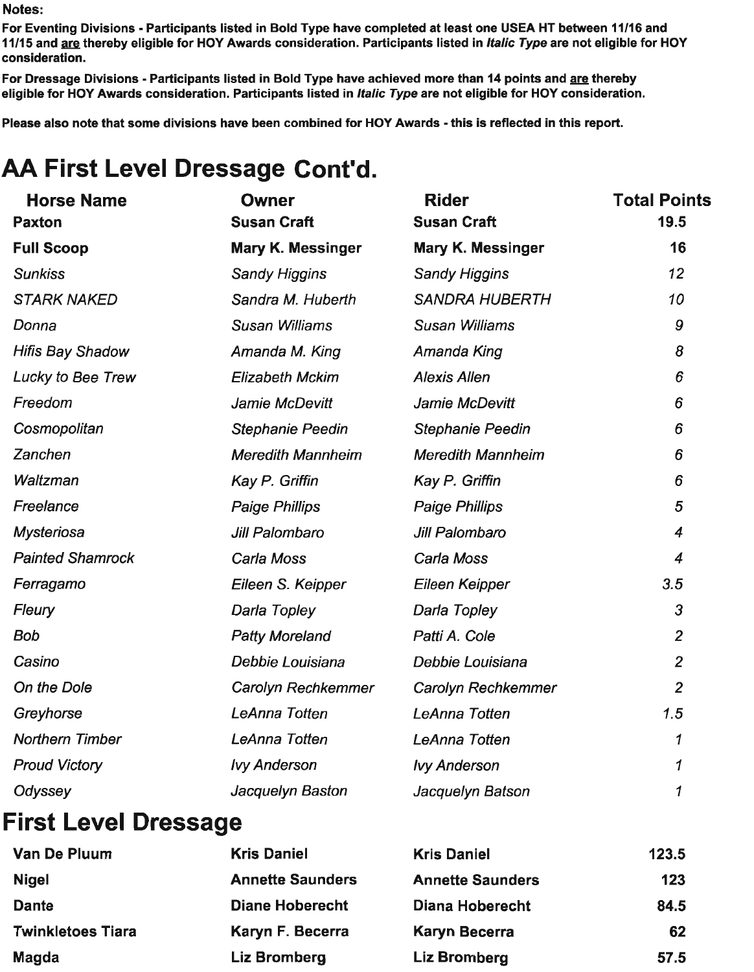For Eventing Divisions - Participants listed in Bold Type have completed at least one USEA HT between 11/16 and 11/15 and are thereby eligible for HOY Awards consideration. Participants listed in Italic Type are not eligible for HOY consideration.

For Dressage Divisions - Participants listed in Bold Type have achieved more than 14 points and are thereby eligible for HOY Awards consideration. Participants listed in Italic Type are not eligible for HOY consideration.

Please also note that some divisions have been combined for HOY Awards - this is reflected in this report.

# AA First Level Dressage Cont'd.

| <b>Horse Name</b>       | <b>Owner</b>             | <b>Rider</b>             | <b>Total Points</b> |
|-------------------------|--------------------------|--------------------------|---------------------|
| <b>Paxton</b>           | <b>Susan Craft</b>       | <b>Susan Craft</b>       | 19.5                |
| <b>Full Scoop</b>       | Mary K. Messinger        | Mary K. Messinger        | 16                  |
| <b>Sunkiss</b>          | <b>Sandy Higgins</b>     | <b>Sandy Higgins</b>     | 12                  |
| <b>STARK NAKED</b>      | Sandra M. Huberth        | <b>SANDRA HUBERTH</b>    | 10                  |
| Donna                   | Susan Williams           | Susan Williams           | 9                   |
| <b>Hifis Bay Shadow</b> | Amanda M. King           | Amanda King              | 8                   |
| Lucky to Bee Trew       | <b>Elizabeth Mckim</b>   | <b>Alexis Allen</b>      | 6                   |
| Freedom                 | Jamie McDevitt           | Jamie McDevitt           | 6                   |
| Cosmopolitan            | <b>Stephanie Peedin</b>  | <b>Stephanie Peedin</b>  | 6                   |
| Zanchen                 | <b>Meredith Mannheim</b> | <b>Meredith Mannheim</b> | 6                   |
| Waltzman                | Kay P. Griffin           | Kay P. Griffin           | 6                   |
| Freelance               | <b>Paige Phillips</b>    | <b>Paige Phillips</b>    | 5                   |
| <b>Mysteriosa</b>       | Jill Palombaro           | Jill Palombaro           | 4                   |
| <b>Painted Shamrock</b> | Carla Moss               | Carla Moss               | 4                   |
| Ferragamo               | Eileen S. Keipper        | Eileen Keipper           | 3.5                 |
| <b>Fleury</b>           | Darla Topley             | Darla Topley             | 3                   |
| Bob                     | <b>Patty Moreland</b>    | Patti A. Cole            | $\overline{c}$      |
| Casino                  | Debbie Louisiana         | Debbie Louisiana         | $\overline{2}$      |
| On the Dole             | Carolyn Rechkemmer       | Carolyn Rechkemmer       | $\overline{2}$      |
| Greyhorse               | <b>LeAnna Totten</b>     | LeAnna Totten            | 1.5                 |
| <b>Northern Timber</b>  | LeAnna Totten            | LeAnna Totten            | 1                   |
| <b>Proud Victory</b>    | <b>Ivy Anderson</b>      | <b>Ivy Anderson</b>      | 1                   |
| Odyssey                 | Jacquelyn Baston         | Jacquelyn Batson         | 1                   |
|                         |                          |                          |                     |

### **First Level Dressage**

| Van De Pluum             | <b>Kris Daniel</b>      | <b>Kris Daniel</b>      | 123.5 |
|--------------------------|-------------------------|-------------------------|-------|
| <b>Nigel</b>             | <b>Annette Saunders</b> | <b>Annette Saunders</b> | 123   |
| <b>Dante</b>             | <b>Diane Hoberecht</b>  | Diana Hoberecht         | 84.5  |
| <b>Twinkletoes Tiara</b> | Karyn F. Becerra        | Karyn Becerra           | 62    |
| Magda                    | Liz Bromberg            | <b>Liz Bromberg</b>     | 57.5  |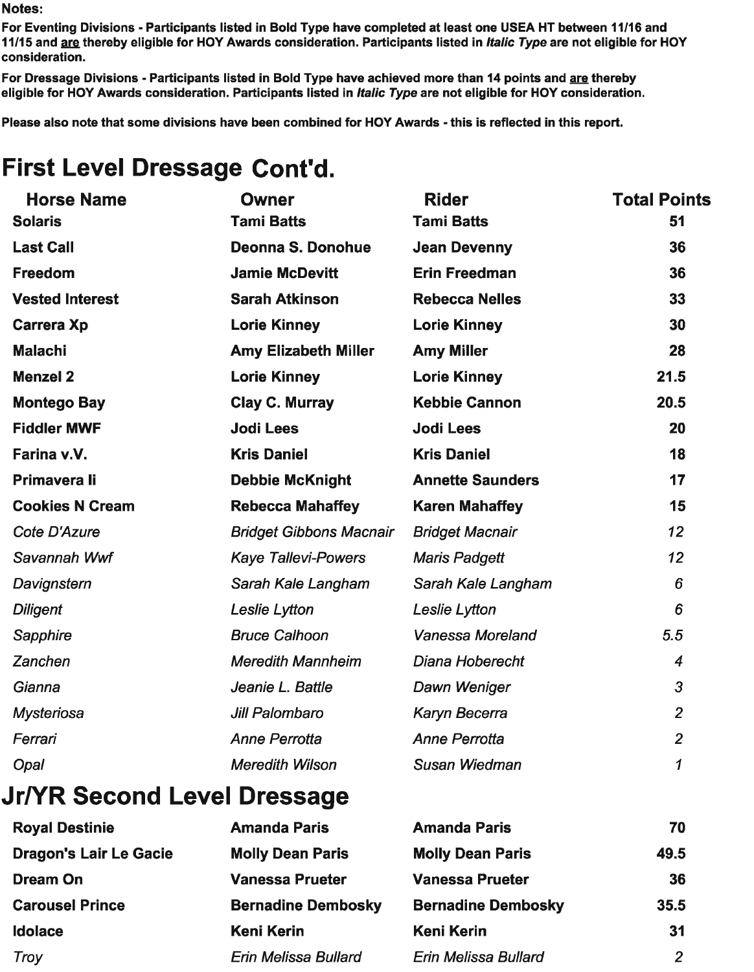For Eventing Divisions - Participants listed in Bold Type have completed at least one USEA HT between 11/16 and 11/15 and are thereby eligible for HOY Awards consideration. Participants listed in *Italic Type* are not eligible for HOY consideration.

For Dressage Divisions - Participants listed in Bold Type have achieved more than 14 points and are thereby eligible for HOY Awards consideration. Participants listed in Italic Type are not eligible for HOY consideration.

Please also note that some divisions have been combined for HOY Awards - this is reflected in this report.

## **First Level Dressage Cont'd.**

| <b>Horse Name</b>      | <b>Owner</b>                   | <b>Rider</b>            | <b>Total Points</b> |
|------------------------|--------------------------------|-------------------------|---------------------|
| <b>Solaris</b>         | <b>Tami Batts</b>              | <b>Tami Batts</b>       | 51                  |
| <b>Last Call</b>       | <b>Deonna S. Donohue</b>       | <b>Jean Devenny</b>     | 36                  |
| <b>Freedom</b>         | <b>Jamie McDevitt</b>          | <b>Erin Freedman</b>    | 36                  |
| <b>Vested Interest</b> | <b>Sarah Atkinson</b>          | <b>Rebecca Nelles</b>   | 33                  |
| <b>Carrera Xp</b>      | <b>Lorie Kinney</b>            | <b>Lorie Kinney</b>     | 30                  |
| <b>Malachi</b>         | <b>Amy Elizabeth Miller</b>    | <b>Amy Miller</b>       | 28                  |
| <b>Menzel 2</b>        | <b>Lorie Kinney</b>            | <b>Lorie Kinney</b>     | 21.5                |
| <b>Montego Bay</b>     | <b>Clay C. Murray</b>          | <b>Kebbie Cannon</b>    | 20.5                |
| <b>Fiddler MWF</b>     | <b>Jodi Lees</b>               | <b>Jodi Lees</b>        | 20                  |
| Farina v.V.            | <b>Kris Daniel</b>             | <b>Kris Daniel</b>      | 18                  |
| Primavera li           | <b>Debbie McKnight</b>         | <b>Annette Saunders</b> | 17                  |
| <b>Cookies N Cream</b> | <b>Rebecca Mahaffey</b>        | <b>Karen Mahaffey</b>   | 15                  |
| Cote D'Azure           | <b>Bridget Gibbons Macnair</b> | <b>Bridget Macnair</b>  | 12                  |
| Savannah Wwf           | <b>Kaye Tallevi-Powers</b>     | <b>Maris Padgett</b>    | 12                  |
| Davignstern            | Sarah Kale Langham             | Sarah Kale Langham      | 6                   |
| <b>Diligent</b>        | Leslie Lytton                  | Leslie Lytton           | 6                   |
| Sapphire               | <b>Bruce Calhoon</b>           | Vanessa Moreland        | 5.5                 |
| Zanchen                | <b>Meredith Mannheim</b>       | Diana Hoberecht         | $\boldsymbol{4}$    |
| Gianna                 | Jeanie L. Battle               | Dawn Weniger            | $\overline{3}$      |
| <b>Mysteriosa</b>      | Jill Palombaro                 | Karyn Becerra           | $\overline{2}$      |
| Ferrari                | <b>Anne Perrotta</b>           | Anne Perrotta           | $\overline{2}$      |
| Opal                   | <b>Meredith Wilson</b>         | <b>Susan Wiedman</b>    | $\boldsymbol{\tau}$ |
|                        |                                |                         |                     |

### **Jr/YR Second Level Dressage**

| <b>Royal Destinie</b>         | <b>Amanda Paris</b>         | <b>Amanda Paris</b>         | 70             |
|-------------------------------|-----------------------------|-----------------------------|----------------|
| <b>Dragon's Lair Le Gacie</b> | <b>Molly Dean Paris</b>     | <b>Molly Dean Paris</b>     | 49.5           |
| Dream On                      | <b>Vanessa Prueter</b>      | <b>Vanessa Prueter</b>      | 36             |
| <b>Carousel Prince</b>        | <b>Bernadine Dembosky</b>   | <b>Bernadine Dembosky</b>   | 35.5           |
| <b>Idolace</b>                | <b>Keni Kerin</b>           | <b>Keni Kerin</b>           | 31             |
| <b>Troy</b>                   | <b>Erin Melissa Bullard</b> | <b>Erin Melissa Bullard</b> | $\overline{2}$ |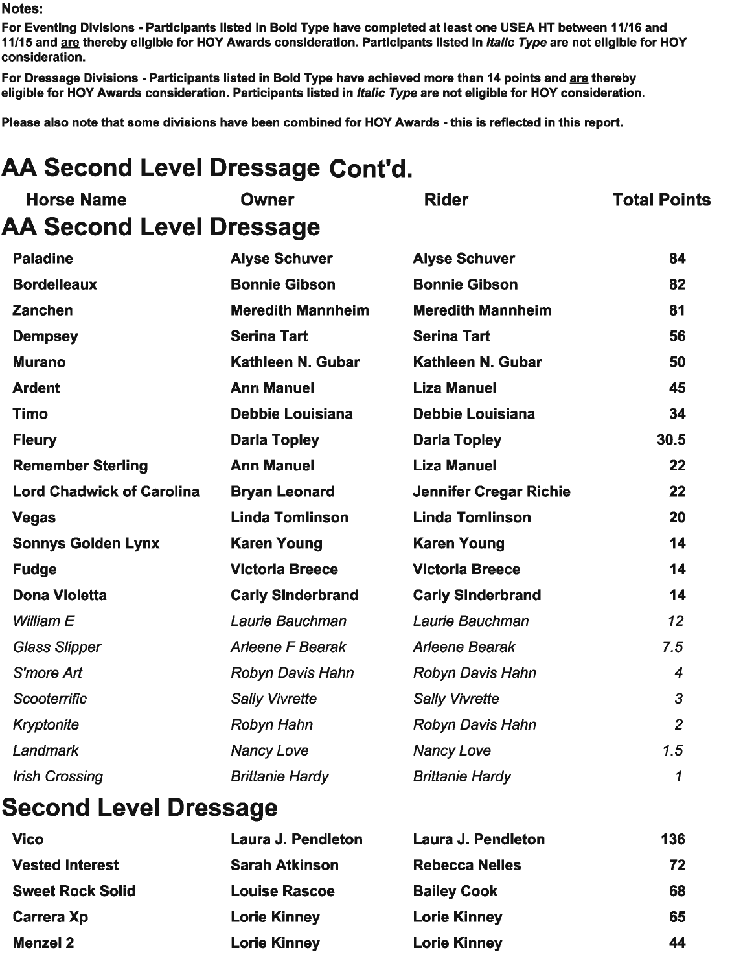For Eventing Divisions - Participants listed in Bold Type have completed at least one USEA HT between 11/16 and 11/15 and are thereby eligible for HOY Awards consideration. Participants listed in *Italic Type* are not eligible for HOY consideration.

For Dressage Divisions - Participants listed in Bold Type have achieved more than 14 points and are thereby eligible for HOY Awards consideration. Participants listed in Italic Type are not eligible for HOY consideration.

Please also note that some divisions have been combined for HOY Awards - this is reflected in this report.

# AA Second Level Dressage Cont'd.

| <b>Horse Name</b>                       | <b>Owner</b>             | <b>Rider</b>                  | <b>Total Points</b> |
|-----------------------------------------|--------------------------|-------------------------------|---------------------|
| <b>AA Second Level Dressage</b>         |                          |                               |                     |
| <b>Paladine</b>                         | <b>Alyse Schuver</b>     | <b>Alyse Schuver</b>          | 84                  |
| <b>Bordelleaux</b>                      | <b>Bonnie Gibson</b>     | <b>Bonnie Gibson</b>          | 82                  |
| <b>Zanchen</b>                          | <b>Meredith Mannheim</b> | <b>Meredith Mannheim</b>      | 81                  |
| <b>Dempsey</b>                          | <b>Serina Tart</b>       | <b>Serina Tart</b>            | 56                  |
| <b>Murano</b>                           | Kathleen N. Gubar        | Kathleen N. Gubar             | 50                  |
| <b>Ardent</b>                           | <b>Ann Manuel</b>        | <b>Liza Manuel</b>            | 45                  |
| <b>Timo</b>                             | <b>Debbie Louisiana</b>  | <b>Debbie Louisiana</b>       | 34                  |
| <b>Fleury</b>                           | <b>Darla Topley</b>      | <b>Darla Topley</b>           | 30.5                |
| <b>Remember Sterling</b>                | <b>Ann Manuel</b>        | <b>Liza Manuel</b>            | 22                  |
| <b>Lord Chadwick of Carolina</b>        | <b>Bryan Leonard</b>     | <b>Jennifer Cregar Richie</b> | 22                  |
| <b>Vegas</b>                            | <b>Linda Tomlinson</b>   | <b>Linda Tomlinson</b>        | 20                  |
| <b>Sonnys Golden Lynx</b>               | <b>Karen Young</b>       | <b>Karen Young</b>            | 14                  |
| <b>Fudge</b>                            | <b>Victoria Breece</b>   | <b>Victoria Breece</b>        | 14                  |
| <b>Dona Violetta</b>                    | <b>Carly Sinderbrand</b> | <b>Carly Sinderbrand</b>      | 14                  |
| William E                               | Laurie Bauchman          | Laurie Bauchman               | 12                  |
| <b>Glass Slipper</b>                    | <b>Arleene F Bearak</b>  | <b>Arleene Bearak</b>         | 7.5                 |
| S'more Art                              | <b>Robyn Davis Hahn</b>  | <b>Robyn Davis Hahn</b>       | $\overline{4}$      |
| Scooterrific                            | <b>Sally Vivrette</b>    | <b>Sally Vivrette</b>         | $\overline{3}$      |
| <b>Kryptonite</b>                       | Robyn Hahn               | <b>Robyn Davis Hahn</b>       | $\overline{2}$      |
| Landmark                                | <b>Nancy Love</b>        | <b>Nancy Love</b>             | 1.5                 |
| <b>Irish Crossing</b>                   | <b>Brittanie Hardy</b>   | <b>Brittanie Hardy</b>        | 1                   |
| and the contract of the contract of the |                          |                               |                     |

### **Second Level Dressage**

| <b>Vico</b>             | Laura J. Pendleton    | Laura J. Pendleton    | 136 |
|-------------------------|-----------------------|-----------------------|-----|
| <b>Vested Interest</b>  | <b>Sarah Atkinson</b> | <b>Rebecca Nelles</b> | 72  |
| <b>Sweet Rock Solid</b> | <b>Louise Rascoe</b>  | <b>Bailey Cook</b>    | 68  |
| <b>Carrera Xp</b>       | <b>Lorie Kinney</b>   | <b>Lorie Kinney</b>   | 65  |
| <b>Menzel 2</b>         | <b>Lorie Kinney</b>   | <b>Lorie Kinney</b>   | 44  |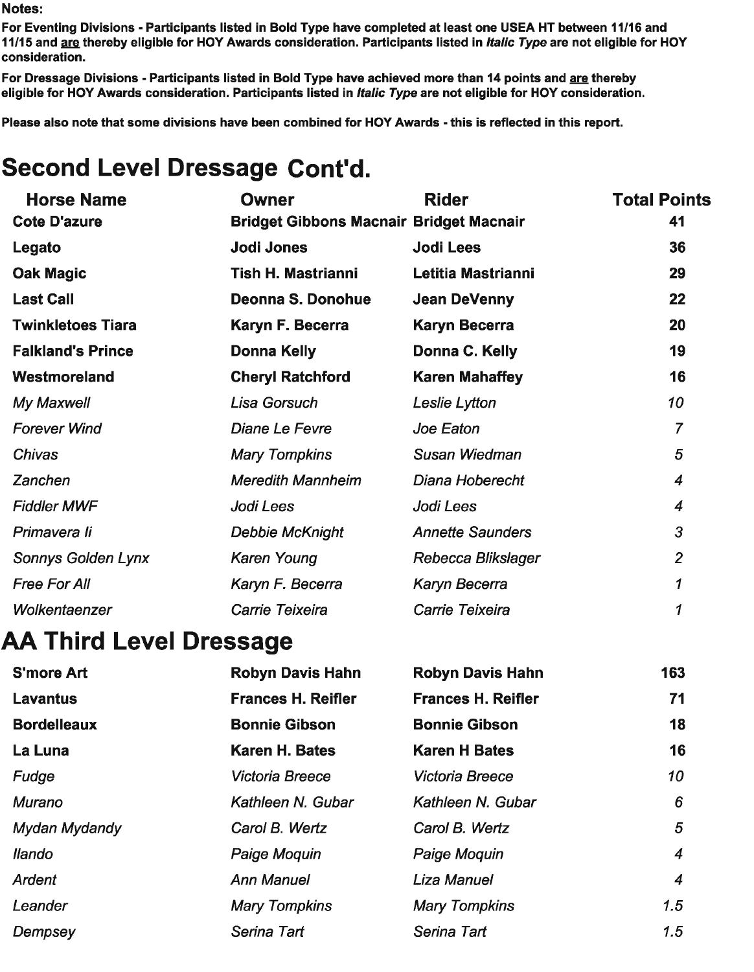Dempsey

For Eventing Divisions - Participants listed in Bold Type have completed at least one USEA HT between 11/16 and 11/15 and are thereby eligible for HOY Awards consideration. Participants listed in Italic Type are not eligible for HOY consideration.

Serina Tart

 $1.5$ 

For Dressage Divisions - Participants listed in Bold Type have achieved more than 14 points and are thereby eligible for HOY Awards consideration. Participants listed in Italic Type are not eligible for HOY consideration.

Please also note that some divisions have been combined for HOY Awards - this is reflected in this report.

# **Second Level Dressage Cont'd.**

| <b>Horse Name</b>              | <b>Owner</b>                                   | <b>Rider</b>              | <b>Total Points</b>        |
|--------------------------------|------------------------------------------------|---------------------------|----------------------------|
| <b>Cote D'azure</b>            | <b>Bridget Gibbons Macnair Bridget Macnair</b> |                           | 41                         |
| Legato                         | <b>Jodi Jones</b>                              | <b>Jodi Lees</b>          | 36                         |
| <b>Oak Magic</b>               | <b>Tish H. Mastrianni</b>                      | Letitia Mastrianni        | 29                         |
| <b>Last Call</b>               | Deonna S. Donohue                              | <b>Jean DeVenny</b>       | 22                         |
| <b>Twinkletoes Tiara</b>       | Karyn F. Becerra                               | <b>Karyn Becerra</b>      | 20                         |
| <b>Falkland's Prince</b>       | <b>Donna Kelly</b>                             | Donna C. Kelly            | 19                         |
| Westmoreland                   | <b>Cheryl Ratchford</b>                        | <b>Karen Mahaffey</b>     | 16                         |
| My Maxwell                     | Lisa Gorsuch                                   | Leslie Lytton             | 10                         |
| <b>Forever Wind</b>            | <b>Diane Le Fevre</b>                          | Joe Eaton                 | $\overline{7}$             |
| <b>Chivas</b>                  | <b>Mary Tompkins</b>                           | <b>Susan Wiedman</b>      | 5                          |
| Zanchen                        | <b>Meredith Mannheim</b>                       | Diana Hoberecht           | $\overline{4}$             |
| <b>Fiddler MWF</b>             | Jodi Lees                                      | Jodi Lees                 | 4                          |
| Primavera li                   | <b>Debbie McKnight</b>                         | <b>Annette Saunders</b>   | 3                          |
| <b>Sonnys Golden Lynx</b>      | <b>Karen Young</b>                             | Rebecca Blikslager        | $\overline{2}$             |
| <b>Free For All</b>            | Karyn F. Becerra                               | Karyn Becerra             | $\boldsymbol{\mathcal{L}}$ |
| Wolkentaenzer                  | Carrie Teixeira                                | Carrie Teixeira           | 1                          |
| <b>AA Third Level Dressage</b> |                                                |                           |                            |
| <b>S'more Art</b>              | <b>Robyn Davis Hahn</b>                        | <b>Robyn Davis Hahn</b>   | 163                        |
| <b>Lavantus</b>                | <b>Frances H. Reifler</b>                      | <b>Frances H. Reifler</b> | 71                         |
| <b>Bordelleaux</b>             | <b>Bonnie Gibson</b>                           | <b>Bonnie Gibson</b>      | 18                         |
| La Luna                        | <b>Karen H. Bates</b>                          | <b>Karen H Bates</b>      | 16                         |
| Fudge                          | <b>Victoria Breece</b>                         | <b>Victoria Breece</b>    | 10                         |
| <b>Murano</b>                  | Kathleen N. Gubar                              | Kathleen N. Gubar         | 6                          |
| Mydan Mydandy                  | Carol B. Wertz                                 | Carol B. Wertz            | 5                          |
| llando                         | Paige Moquin                                   | Paige Moquin              | 4                          |
| <b>Ardent</b>                  | <b>Ann Manuel</b>                              | <b>Liza Manuel</b>        | 4                          |
| Leander                        | <b>Mary Tompkins</b>                           | <b>Mary Tompkins</b>      | 1.5                        |

Serina Tart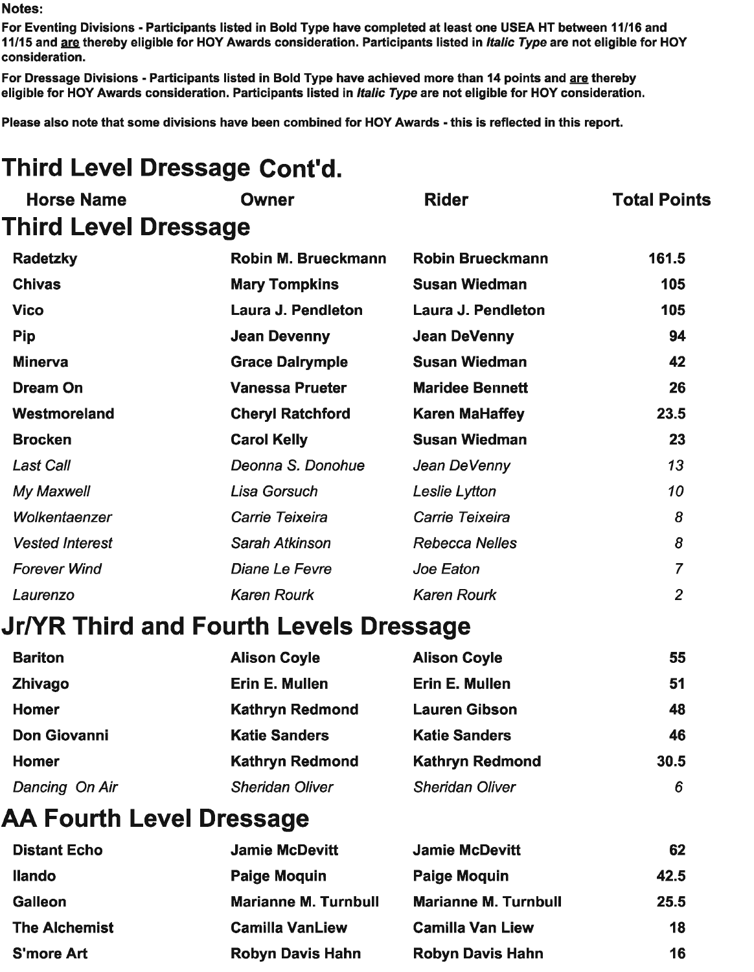For Eventing Divisions - Participants listed in Bold Type have completed at least one USEA HT between 11/16 and 11/15 and are thereby eligible for HOY Awards consideration. Participants listed in *Italic Type* are not eligible for HOY consideration.

For Dressage Divisions - Participants listed in Bold Type have achieved more than 14 points and are thereby eligible for HOY Awards consideration. Participants listed in Italic Type are not eligible for HOY consideration.

Please also note that some divisions have been combined for HOY Awards - this is reflected in this report.

# **Third Level Dressage Cont'd.**

| <b>Owner</b>            | <b>Rider</b>                                                   | <b>Total Points</b>                    |
|-------------------------|----------------------------------------------------------------|----------------------------------------|
|                         |                                                                |                                        |
| Robin M. Brueckmann     | <b>Robin Brueckmann</b>                                        | 161.5                                  |
| <b>Mary Tompkins</b>    | <b>Susan Wiedman</b>                                           | 105                                    |
| Laura J. Pendleton      | Laura J. Pendleton                                             | 105                                    |
| <b>Jean Devenny</b>     | <b>Jean DeVenny</b>                                            | 94                                     |
| <b>Grace Dalrymple</b>  | <b>Susan Wiedman</b>                                           | 42                                     |
| <b>Vanessa Prueter</b>  | <b>Maridee Bennett</b>                                         | 26                                     |
| <b>Cheryl Ratchford</b> | <b>Karen MaHaffey</b>                                          | 23.5                                   |
| <b>Carol Kelly</b>      | <b>Susan Wiedman</b>                                           | 23                                     |
| Deonna S. Donohue       | Jean DeVenny                                                   | 13                                     |
| Lisa Gorsuch            | Leslie Lytton                                                  | 10                                     |
| Carrie Teixeira         | Carrie Teixeira                                                | 8                                      |
| Sarah Atkinson          | <b>Rebecca Nelles</b>                                          | 8                                      |
| <b>Diane Le Fevre</b>   | Joe Eaton                                                      | $\overline{7}$                         |
| <b>Karen Rourk</b>      | <b>Karen Rourk</b>                                             | $\overline{2}$                         |
|                         |                                                                |                                        |
| <b>Alison Coyle</b>     | <b>Alison Coyle</b>                                            | 55                                     |
| Erin E. Mullen          | Erin E. Mullen                                                 | 51                                     |
| <b>Kathryn Redmond</b>  | <b>Lauren Gibson</b>                                           | 48                                     |
| <b>Katie Sanders</b>    | <b>Katie Sanders</b>                                           | 46                                     |
| <b>Kathryn Redmond</b>  | <b>Kathryn Redmond</b>                                         | 30.5                                   |
| <b>Sheridan Oliver</b>  | <b>Sheridan Oliver</b>                                         | 6                                      |
|                         |                                                                |                                        |
| <b>Jamie McDevitt</b>   | <b>Jamie McDevitt</b>                                          | 62                                     |
| <b>Paige Moquin</b>     | <b>Paige Moquin</b>                                            | 42.5                                   |
|                         | <b>Third Level Dressage</b><br><b>AA Fourth Level Dressage</b> | Jr/YR Third and Fourth Levels Dressage |

| <b>Ilando</b>        | Paige Moquin                | Paige Moquin                | 42.5 |
|----------------------|-----------------------------|-----------------------------|------|
| <b>Galleon</b>       | <b>Marianne M. Turnbull</b> | <b>Marianne M. Turnbull</b> | 25.5 |
| <b>The Alchemist</b> | <b>Camilla VanLiew</b>      | <b>Camilla Van Liew</b>     | 18   |
| <b>S'more Art</b>    | <b>Robyn Davis Hahn</b>     | <b>Robyn Davis Hahn</b>     | 16   |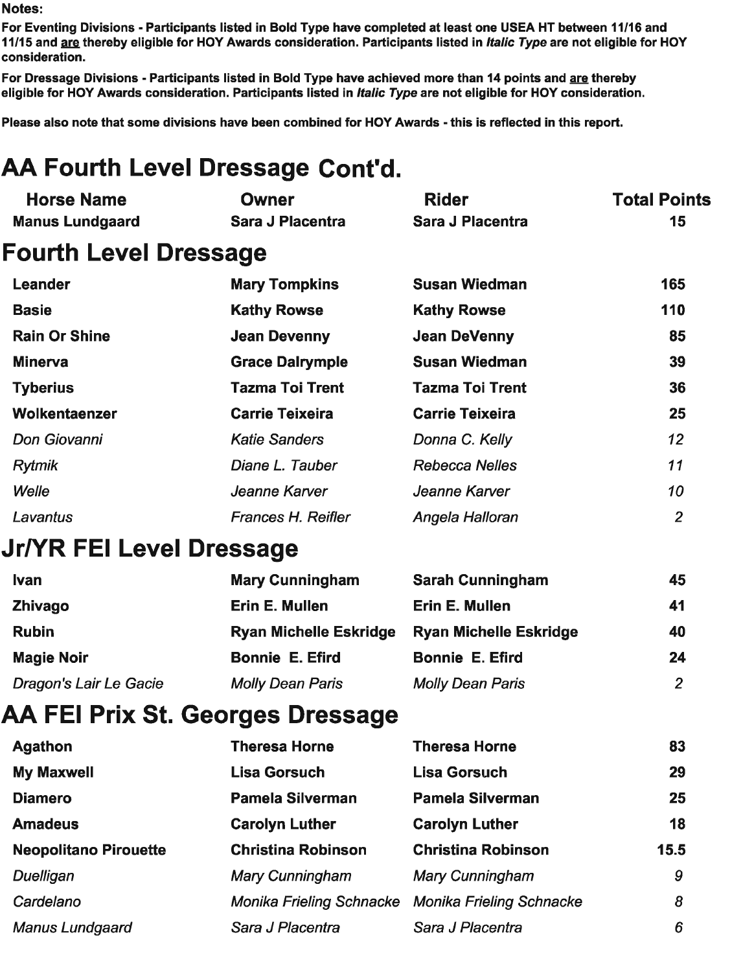**Horse Name** 

For Eventing Divisions - Participants listed in Bold Type have completed at least one USEA HT between 11/16 and 11/15 and are thereby eligible for HOY Awards consideration. Participants listed in *Italic Type* are not eligible for HOY consideration.

**Rider** 

**Total Points** 

For Dressage Divisions - Participants listed in Bold Type have achieved more than 14 points and are thereby eligible for HOY Awards consideration. Participants listed in Italic Type are not eligible for HOY consideration.

Please also note that some divisions have been combined for HOY Awards - this is reflected in this report.

**Owner** 

# AA Fourth Level Dressage Cont'd.

| <b>Manus Lundgaard</b>                  | Sara J Placentra                | Sara J Placentra                | 15             |
|-----------------------------------------|---------------------------------|---------------------------------|----------------|
| <b>Fourth Level Dressage</b>            |                                 |                                 |                |
| Leander                                 | <b>Mary Tompkins</b>            | <b>Susan Wiedman</b>            | 165            |
| <b>Basie</b>                            | <b>Kathy Rowse</b>              | <b>Kathy Rowse</b>              | 110            |
| <b>Rain Or Shine</b>                    | <b>Jean Devenny</b>             | <b>Jean DeVenny</b>             | 85             |
| <b>Minerva</b>                          | <b>Grace Dalrymple</b>          | <b>Susan Wiedman</b>            | 39             |
| <b>Tyberius</b>                         | <b>Tazma Toi Trent</b>          | <b>Tazma Toi Trent</b>          | 36             |
| Wolkentaenzer                           | <b>Carrie Teixeira</b>          | <b>Carrie Teixeira</b>          | 25             |
| Don Giovanni                            | <b>Katie Sanders</b>            | Donna C. Kelly                  | 12             |
| <b>Rytmik</b>                           | Diane L. Tauber                 | <b>Rebecca Nelles</b>           | 11             |
| Welle                                   | Jeanne Karver                   | Jeanne Karver                   | 10             |
| Lavantus                                | <b>Frances H. Reifler</b>       | Angela Halloran                 | $\overline{2}$ |
| Jr/YR FEI Level Dressage                |                                 |                                 |                |
| <b>Ivan</b>                             | <b>Mary Cunningham</b>          | <b>Sarah Cunningham</b>         | 45             |
| <b>Zhivago</b>                          | Erin E. Mullen                  | Erin E. Mullen                  | 41             |
| <b>Rubin</b>                            | <b>Ryan Michelle Eskridge</b>   | <b>Ryan Michelle Eskridge</b>   | 40             |
| <b>Magie Noir</b>                       | <b>Bonnie E. Efird</b>          | <b>Bonnie E. Efird</b>          | 24             |
| Dragon's Lair Le Gacie                  | <b>Molly Dean Paris</b>         | <b>Molly Dean Paris</b>         | $\overline{2}$ |
| <b>AA FEI Prix St. Georges Dressage</b> |                                 |                                 |                |
| <b>Agathon</b>                          | <b>Theresa Horne</b>            | <b>Theresa Horne</b>            | 83             |
| <b>My Maxwell</b>                       | <b>Lisa Gorsuch</b>             | <b>Lisa Gorsuch</b>             | 29             |
| <b>Diamero</b>                          | <b>Pamela Silverman</b>         | <b>Pamela Silverman</b>         | 25             |
| <b>Amadeus</b>                          | <b>Carolyn Luther</b>           | <b>Carolyn Luther</b>           | 18             |
| <b>Neopolitano Pirouette</b>            | <b>Christina Robinson</b>       | <b>Christina Robinson</b>       | 15.5           |
| <b>Duelligan</b>                        | <b>Mary Cunningham</b>          | <b>Mary Cunningham</b>          | 9              |
| Cardelano                               | <b>Monika Frieling Schnacke</b> | <b>Monika Frieling Schnacke</b> | 8              |
| <b>Manus Lundgaard</b>                  | Sara J Placentra                | Sara J Placentra                | 6              |
|                                         |                                 |                                 |                |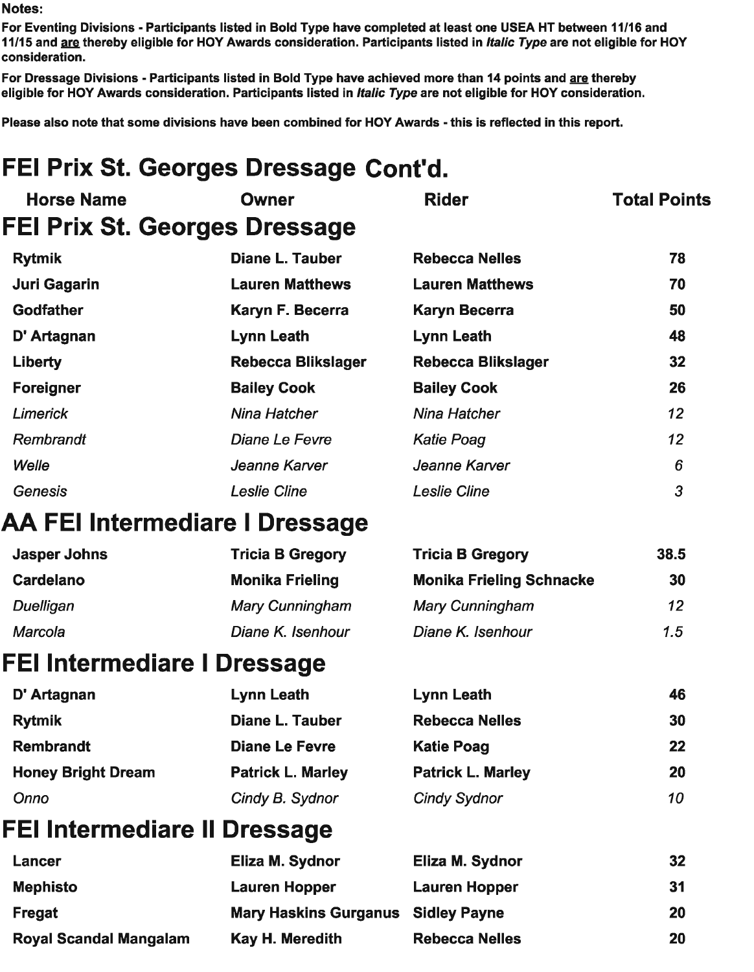For Eventing Divisions - Participants listed in Bold Type have completed at least one USEA HT between 11/16 and 11/15 and are thereby eligible for HOY Awards consideration. Participants listed in *Italic Type* are not eligible for HOY consideration.

For Dressage Divisions - Participants listed in Bold Type have achieved more than 14 points and are thereby eligible for HOY Awards consideration. Participants listed in *Italic Type* are not eligible for HOY consideration.

Please also note that some divisions have been combined for HOY Awards - this is reflected in this report.

# FEI Prix St. Georges Dressage Cont'd.

| <b>Horse Name</b> | <b>Owner</b>                  | <b>Rider</b>              | <b>Total Points</b> |
|-------------------|-------------------------------|---------------------------|---------------------|
|                   | FEI Prix St. Georges Dressage |                           |                     |
| <b>Rytmik</b>     | Diane L. Tauber               | <b>Rebecca Nelles</b>     | 78                  |
| Juri Gagarin      | <b>Lauren Matthews</b>        | <b>Lauren Matthews</b>    | 70                  |
| Godfather         | Karyn F. Becerra              | <b>Karyn Becerra</b>      | 50                  |
| D' Artagnan       | <b>Lynn Leath</b>             | <b>Lynn Leath</b>         | 48                  |
| Liberty           | <b>Rebecca Blikslager</b>     | <b>Rebecca Blikslager</b> | 32 <sub>2</sub>     |
| <b>Foreigner</b>  | <b>Bailey Cook</b>            | <b>Bailey Cook</b>        | 26                  |
| <b>Limerick</b>   | Nina Hatcher                  | Nina Hatcher              | 12 <sup>2</sup>     |
| Rembrandt         | Diane Le Fevre                | <b>Katie Poag</b>         | 12 <sup>2</sup>     |
| Welle             | Jeanne Karver                 | Jeanne Karver             | 6                   |
| <b>Genesis</b>    | <b>Leslie Cline</b>           | <b>Leslie Cline</b>       | 3                   |

#### **AA FEI Intermediare I Dressage**

| Jasper Johns | <b>Tricia B Gregory</b> | <b>Tricia B Gregory</b>         | 38.5            |
|--------------|-------------------------|---------------------------------|-----------------|
| Cardelano    | <b>Monika Frieling</b>  | <b>Monika Frieling Schnacke</b> | 30              |
| Duelligan    | <b>Mary Cunningham</b>  | <b>Mary Cunningham</b>          | 12 <sup>2</sup> |
| Marcola      | Diane K. Isenhour       | Diane K. Isenhour               | 1.5             |

#### **FEI Intermediare I Dressage**

| D' Artagnan               | Lynn Leath               | Lynn Leath               | 46 |
|---------------------------|--------------------------|--------------------------|----|
| <b>Rytmik</b>             | <b>Diane L. Tauber</b>   | <b>Rebecca Nelles</b>    | 30 |
| <b>Rembrandt</b>          | <b>Diane Le Fevre</b>    | <b>Katie Poag</b>        | 22 |
| <b>Honey Bright Dream</b> | <b>Patrick L. Marley</b> | <b>Patrick L. Marley</b> | 20 |
| Onno                      | Cindy B. Sydnor          | <b>Cindy Sydnor</b>      | 10 |

### **FEI Intermediare II Dressage**

| Lancer                        | Eliza M. Sydnor              | Eliza M. Sydnor       | 32 |
|-------------------------------|------------------------------|-----------------------|----|
| <b>Mephisto</b>               | Lauren Hopper                | <b>Lauren Hopper</b>  | 31 |
| Fregat                        | <b>Mary Haskins Gurganus</b> | <b>Sidley Payne</b>   | 20 |
| <b>Royal Scandal Mangalam</b> | Kay H. Meredith              | <b>Rebecca Nelles</b> | 20 |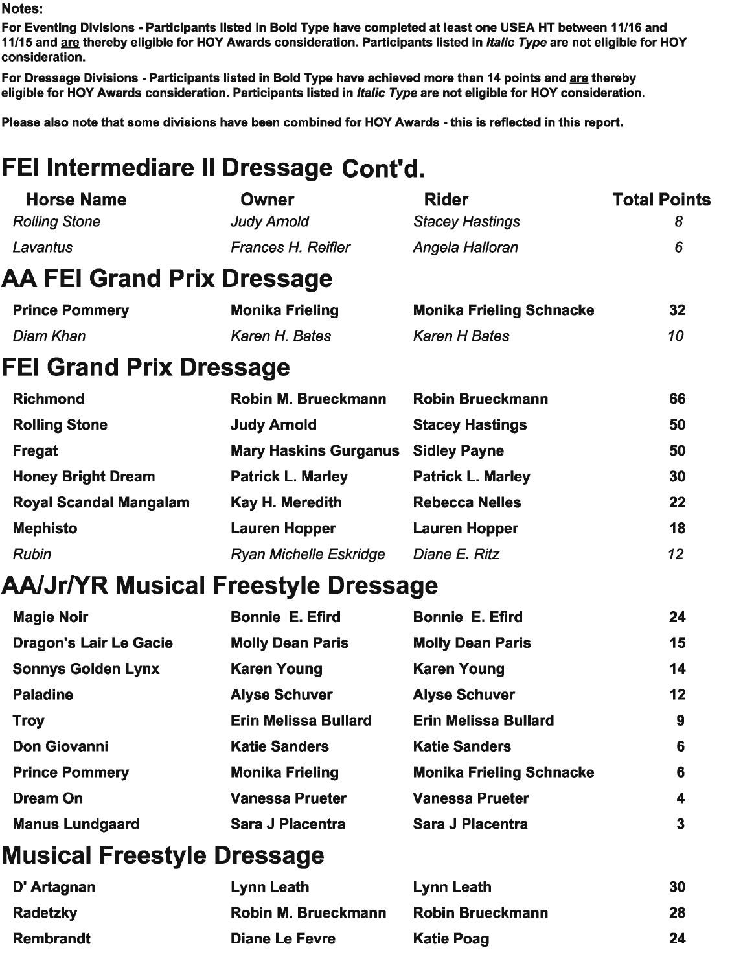For Eventing Divisions - Participants listed in Bold Type have completed at least one USEA HT between 11/16 and 11/15 and are thereby eligible for HOY Awards consideration. Participants listed in *Italic Type* are not eligible for HOY consideration.

 $\sim$   $\sim$   $\sim$ 

 $\overline{\mathbf{3}}$ 

For Dressage Divisions - Participants listed in Bold Type have achieved more than 14 points and <u>are</u> thereby eligible for HOY Awards consideration. Participants listed in Italic Type are not eligible for HOY consideration.

Please also note that some divisions have been combined for HOY Awards - this is reflected in this report.

# FEI Intermediare II Dressage Cont'd.

| <b>Horse Name</b>                   | <b>Owner</b>                  | <b>Rider</b>                    | Total Points     |
|-------------------------------------|-------------------------------|---------------------------------|------------------|
| <b>Rolling Stone</b>                | <b>Judy Arnold</b>            | <b>Stacey Hastings</b>          | 8                |
| Lavantus                            | Frances H. Reifler            | Angela Halloran                 | 6                |
| AA FEI Grand Prix Dressage          |                               |                                 |                  |
| <b>Prince Pommery</b>               | <b>Monika Frieling</b>        | <b>Monika Frieling Schnacke</b> | 32               |
| Diam Khan                           | Karen H. Bates                | <b>Karen H Bates</b>            | 10               |
| <b>FEI Grand Prix Dressage</b>      |                               |                                 |                  |
| <b>Richmond</b>                     | Robin M. Brueckmann           | <b>Robin Brueckmann</b>         | 66               |
| <b>Rolling Stone</b>                | <b>Judy Arnold</b>            | <b>Stacey Hastings</b>          | 50               |
| <b>Fregat</b>                       | <b>Mary Haskins Gurganus</b>  | <b>Sidley Payne</b>             | 50               |
| <b>Honey Bright Dream</b>           | <b>Patrick L. Marley</b>      | <b>Patrick L. Marley</b>        | 30               |
| <b>Royal Scandal Mangalam</b>       | Kay H. Meredith               | <b>Rebecca Nelles</b>           | 22               |
| <b>Mephisto</b>                     | <b>Lauren Hopper</b>          | <b>Lauren Hopper</b>            | 18               |
| <b>Rubin</b>                        | <b>Ryan Michelle Eskridge</b> | Diane E. Ritz                   | 12               |
| AA/Jr/YR Musical Freestyle Dressage |                               |                                 |                  |
| <b>Magie Noir</b>                   | <b>Bonnie E. Efird</b>        | <b>Bonnie E. Efird</b>          | 24               |
| <b>Dragon's Lair Le Gacie</b>       | <b>Molly Dean Paris</b>       | <b>Molly Dean Paris</b>         | 15               |
| <b>Sonnys Golden Lynx</b>           | <b>Karen Young</b>            | <b>Karen Young</b>              | 14               |
| <b>Paladine</b>                     | <b>Alyse Schuver</b>          | <b>Alyse Schuver</b>            | 12               |
| <b>Troy</b>                         | <b>Erin Melissa Bullard</b>   | <b>Erin Melissa Bullard</b>     | $\boldsymbol{9}$ |
| <b>Don Giovanni</b>                 | <b>Katie Sanders</b>          | <b>Katie Sanders</b>            | 6                |
| <b>Prince Pommery</b>               | <b>Monika Frieling</b>        | <b>Monika Frieling Schnacke</b> | 6                |
| <b>Dream On</b>                     | <b>Vanessa Prueter</b>        | <b>Vanessa Prueter</b>          | 4                |
|                                     |                               |                                 |                  |

### **Musical Freestyle Dressage**

**Manus Lundgaard** 

| D' Artagnan      | Lynn Leath            | Lynn Leath              | 30 |
|------------------|-----------------------|-------------------------|----|
| <b>Radetzky</b>  | Robin M. Brueckmann   | <b>Robin Brueckmann</b> | 28 |
| <b>Rembrandt</b> | <b>Diane Le Fevre</b> | <b>Katie Poag</b>       | 24 |

**Sara J Placentra** 

**Sara J Placentra**